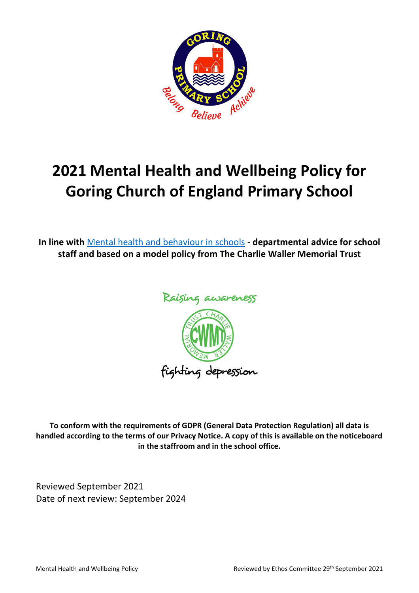

# **2021 Mental Health and Wellbeing Policy for Goring Church of England Primary School**

**In line with** [Mental health and behaviour in schools](http://www.gov.uk/government/publications/mental-health-and-behaviour-in-schools--2) - **departmental advice for school staff and based on a model policy from The Charlie Waller Memorial Trust**



**To conform with the requirements of GDPR (General Data Protection Regulation) all data is handled according to the terms of our Privacy Notice. A copy of this is available on the noticeboard in the staffroom and in the school office.**

Reviewed September 2021 Date of next review: September 2024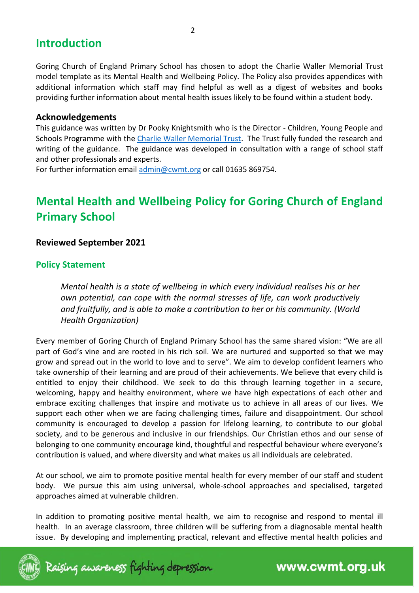# **Introduction**

Goring Church of England Primary School has chosen to adopt the Charlie Waller Memorial Trust model template as its Mental Health and Wellbeing Policy. The Policy also provides appendices with additional information which staff may find helpful as well as a digest of websites and books providing further information about mental health issues likely to be found within a student body.

#### **Acknowledgements**

This guidance was written by Dr Pooky Knightsmith who is the Director - Children, Young People and Schools Programme with the [Charlie Waller Memorial Trust.](http://www.cwmt.org.uk/) The Trust fully funded the research and writing of the guidance. The guidance was developed in consultation with a range of school staff and other professionals and experts.

For further information email [admin@cwmt.org](mailto:admin@cwmt.org) or call 01635 869754.

# **Mental Health and Wellbeing Policy for Goring Church of England Primary School**

#### **Reviewed September 2021**

#### **Policy Statement**

*Mental health is a state of wellbeing in which every individual realises his or her own potential, can cope with the normal stresses of life, can work productively and fruitfully, and is able to make a contribution to her or his community. (World Health Organization)*

Every member of Goring Church of England Primary School has the same shared vision: "We are all part of God's vine and are rooted in his rich soil. We are nurtured and supported so that we may grow and spread out in the world to love and to serve". We aim to develop confident learners who take ownership of their learning and are proud of their achievements. We believe that every child is entitled to enjoy their childhood. We seek to do this through learning together in a secure, welcoming, happy and healthy environment, where we have high expectations of each other and embrace exciting challenges that inspire and motivate us to achieve in all areas of our lives. We support each other when we are facing challenging times, failure and disappointment. Our school community is encouraged to develop a passion for lifelong learning, to contribute to our global society, and to be generous and inclusive in our friendships. Our Christian ethos and our sense of belonging to one community encourage kind, thoughtful and respectful behaviour where everyone's contribution is valued, and where diversity and what makes us all individuals are celebrated.

At our school, we aim to promote positive mental health for every member of our staff and student body. We pursue this aim using universal, whole-school approaches and specialised, targeted approaches aimed at vulnerable children.

In addition to promoting positive mental health, we aim to recognise and respond to mental ill health. In an average classroom, three children will be suffering from a diagnosable mental health issue. By developing and implementing practical, relevant and effective mental health policies and

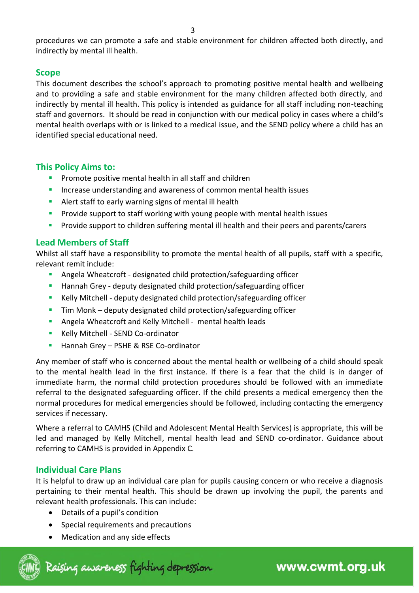procedures we can promote a safe and stable environment for children affected both directly, and indirectly by mental ill health.

### **Scope**

This document describes the school's approach to promoting positive mental health and wellbeing and to providing a safe and stable environment for the many children affected both directly, and indirectly by mental ill health. This policy is intended as guidance for all staff including non-teaching staff and governors. It should be read in conjunction with our medical policy in cases where a child's mental health overlaps with or is linked to a medical issue, and the SEND policy where a child has an identified special educational need.

### **This Policy Aims to:**

- **•** Promote positive mental health in all staff and children
- **■** Increase understanding and awareness of common mental health issues
- Alert staff to early warning signs of mental ill health
- **•** Provide support to staff working with young people with mental health issues
- **•** Provide support to children suffering mental ill health and their peers and parents/carers

### **Lead Members of Staff**

Whilst all staff have a responsibility to promote the mental health of all pupils, staff with a specific, relevant remit include:

- Angela Wheatcroft designated child protection/safeguarding officer
- Hannah Grey deputy designated child protection/safeguarding officer
- Kelly Mitchell deputy designated child protection/safeguarding officer
- **•** Tim Monk deputy designated child protection/safeguarding officer
- Angela Wheatcroft and Kelly Mitchell mental health leads
- Kelly Mitchell SEND Co-ordinator
- Hannah Grey PSHE & RSE Co-ordinator

Any member of staff who is concerned about the mental health or wellbeing of a child should speak to the mental health lead in the first instance. If there is a fear that the child is in danger of immediate harm, the normal child protection procedures should be followed with an immediate referral to the designated safeguarding officer. If the child presents a medical emergency then the normal procedures for medical emergencies should be followed, including contacting the emergency services if necessary.

Where a referral to CAMHS (Child and Adolescent Mental Health Services) is appropriate, this will be led and managed by Kelly Mitchell, mental health lead and SEND co-ordinator. Guidance about referring to CAMHS is provided in Appendix C.

# **Individual Care Plans**

It is helpful to draw up an individual care plan for pupils causing concern or who receive a diagnosis pertaining to their mental health. This should be drawn up involving the pupil, the parents and relevant health professionals. This can include:

- Details of a pupil's condition
- Special requirements and precautions
- Medication and any side effects

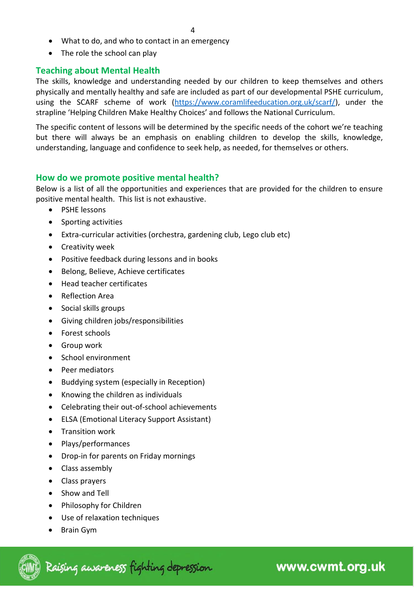- What to do, and who to contact in an emergency
- The role the school can play

#### **Teaching about Mental Health**

The skills, knowledge and understanding needed by our children to keep themselves and others physically and mentally healthy and safe are included as part of our developmental PSHE curriculum, using the SCARF scheme of work [\(https://www.coramlifeeducation.org.uk/scarf/\)](https://www.coramlifeeducation.org.uk/scarf/), under the strapline 'Helping Children Make Healthy Choices' and follows the National Curriculum.

The specific content of lessons will be determined by the specific needs of the cohort we're teaching but there will always be an emphasis on enabling children to develop the skills, knowledge, understanding, language and confidence to seek help, as needed, for themselves or others.

#### **How do we promote positive mental health?**

Below is a list of all the opportunities and experiences that are provided for the children to ensure positive mental health. This list is not exhaustive.

- PSHE lessons
- Sporting activities
- Extra-curricular activities (orchestra, gardening club, Lego club etc)
- Creativity week
- Positive feedback during lessons and in books
- Belong, Believe, Achieve certificates
- Head teacher certificates
- Reflection Area
- Social skills groups
- Giving children jobs/responsibilities
- Forest schools
- Group work
- School environment
- Peer mediators
- Buddying system (especially in Reception)
- Knowing the children as individuals
- Celebrating their out-of-school achievements
- ELSA (Emotional Literacy Support Assistant)
- Transition work
- Plays/performances
- Drop-in for parents on Friday mornings
- Class assembly
- Class prayers
- Show and Tell
- Philosophy for Children
- Use of relaxation techniques
- Brain Gym

Raising awareness fighting depression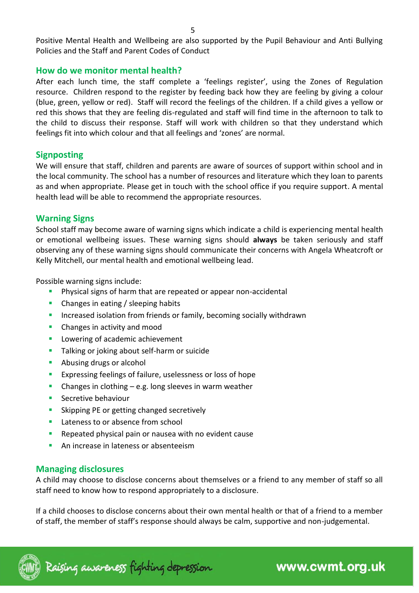Positive Mental Health and Wellbeing are also supported by the Pupil Behaviour and Anti Bullying Policies and the Staff and Parent Codes of Conduct

#### **How do we monitor mental health?**

After each lunch time, the staff complete a 'feelings register', using the Zones of Regulation resource. Children respond to the register by feeding back how they are feeling by giving a colour (blue, green, yellow or red). Staff will record the feelings of the children. If a child gives a yellow or red this shows that they are feeling dis-regulated and staff will find time in the afternoon to talk to the child to discuss their response. Staff will work with children so that they understand which feelings fit into which colour and that all feelings and 'zones' are normal.

#### **Signposting**

We will ensure that staff, children and parents are aware of sources of support within school and in the local community. The school has a number of resources and literature which they loan to parents as and when appropriate. Please get in touch with the school office if you require support. A mental health lead will be able to recommend the appropriate resources.

#### **Warning Signs**

School staff may become aware of warning signs which indicate a child is experiencing mental health or emotional wellbeing issues. These warning signs should **always** be taken seriously and staff observing any of these warning signs should communicate their concerns with Angela Wheatcroft or Kelly Mitchell, our mental health and emotional wellbeing lead.

Possible warning signs include:

- Physical signs of harm that are repeated or appear non-accidental
- Changes in eating / sleeping habits
- **EXEDENTIFY Increased isolation from friends or family, becoming socially withdrawn**
- Changes in activity and mood
- **E** Lowering of academic achievement
- Talking or joking about self-harm or suicide
- Abusing drugs or alcohol
- **EXPERIGE 1** Expressing feelings of failure, uselessness or loss of hope
- **•** Changes in clothing  $-e.g.$  long sleeves in warm weather
- **E** Secretive behaviour
- Skipping PE or getting changed secretively
- Lateness to or absence from school
- Repeated physical pain or nausea with no evident cause
- An increase in lateness or absenteeism

#### **Managing disclosures**

A child may choose to disclose concerns about themselves or a friend to any member of staff so all staff need to know how to respond appropriately to a disclosure.

If a child chooses to disclose concerns about their own mental health or that of a friend to a member of staff, the member of staff's response should always be calm, supportive and non-judgemental.

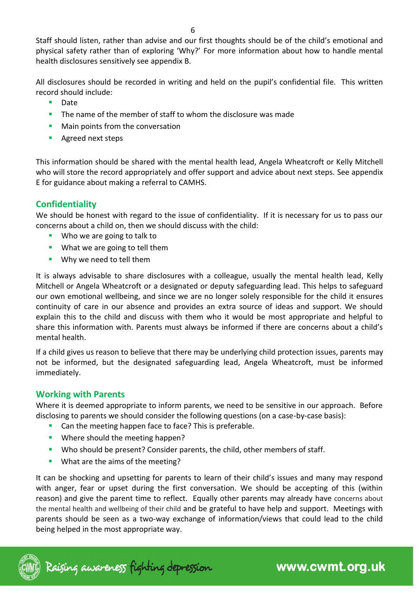6

Staff should listen, rather than advise and our first thoughts should be of the child's emotional and physical safety rather than of exploring 'Why?' For more information about how to handle mental health disclosures sensitively see appendix B.

All disclosures should be recorded in writing and held on the pupil's confidential file. This written record should include:

- **Date**
- **The name of the member of staff to whom the disclosure was made**
- Main points from the conversation
- Agreed next steps

This information should be shared with the mental health lead, Angela Wheatcroft or Kelly Mitchell who will store the record appropriately and offer support and advice about next steps. See appendix E for guidance about making a referral to CAMHS.

# **Confidentiality**

We should be honest with regard to the issue of confidentiality. If it is necessary for us to pass our concerns about a child on, then we should discuss with the child:

- Who we are going to talk to
- What we are going to tell them
- Why we need to tell them

It is always advisable to share disclosures with a colleague, usually the mental health lead, Kelly Mitchell or Angela Wheatcroft or a designated or deputy safeguarding lead. This helps to safeguard our own emotional wellbeing, and since we are no longer solely responsible for the child it ensures continuity of care in our absence and provides an extra source of ideas and support. We should explain this to the child and discuss with them who it would be most appropriate and helpful to share this information with. Parents must always be informed if there are concerns about a child's mental health.

If a child gives us reason to believe that there may be underlying child protection issues, parents may not be informed, but the designated safeguarding lead, Angela Wheatcroft, must be informed immediately.

### **Working with Parents**

Where it is deemed appropriate to inform parents, we need to be sensitive in our approach. Before disclosing to parents we should consider the following questions (on a case-by-case basis):

- Can the meeting happen face to face? This is preferable.
- Where should the meeting happen?
- Who should be present? Consider parents, the child, other members of staff.
- What are the aims of the meeting?

It can be shocking and upsetting for parents to learn of their child's issues and many may respond with anger, fear or upset during the first conversation. We should be accepting of this (within reason) and give the parent time to reflect. Equally other parents may already have concerns about the mental health and wellbeing of their child and be grateful to have help and support. Meetings with parents should be seen as a two-way exchange of information/views that could lead to the child being helped in the most appropriate way.

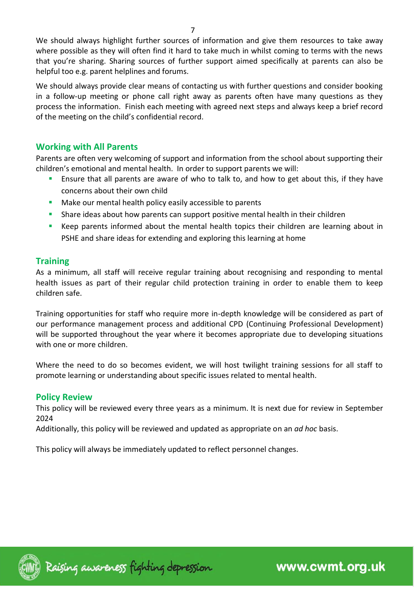We should always highlight further sources of information and give them resources to take away where possible as they will often find it hard to take much in whilst coming to terms with the news that you're sharing. Sharing sources of further support aimed specifically at parents can also be helpful too e.g. parent helplines and forums.

We should always provide clear means of contacting us with further questions and consider booking in a follow-up meeting or phone call right away as parents often have many questions as they process the information. Finish each meeting with agreed next steps and always keep a brief record of the meeting on the child's confidential record.

#### **Working with All Parents**

Parents are often very welcoming of support and information from the school about supporting their children's emotional and mental health. In order to support parents we will:

- **E** Ensure that all parents are aware of who to talk to, and how to get about this, if they have concerns about their own child
- Make our mental health policy easily accessible to parents
- **EXT** Share ideas about how parents can support positive mental health in their children
- Keep parents informed about the mental health topics their children are learning about in PSHE and share ideas for extending and exploring this learning at home

### **Training**

As a minimum, all staff will receive regular training about recognising and responding to mental health issues as part of their regular child protection training in order to enable them to keep children safe.

Training opportunities for staff who require more in-depth knowledge will be considered as part of our performance management process and additional CPD (Continuing Professional Development) will be supported throughout the year where it becomes appropriate due to developing situations with one or more children.

Where the need to do so becomes evident, we will host twilight training sessions for all staff to promote learning or understanding about specific issues related to mental health.

#### **Policy Review**

This policy will be reviewed every three years as a minimum. It is next due for review in September 2024

Additionally, this policy will be reviewed and updated as appropriate on an *ad hoc* basis.

This policy will always be immediately updated to reflect personnel changes.

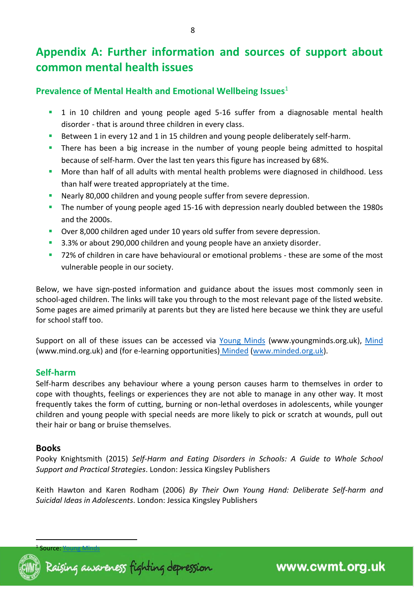# **Appendix A: Further information and sources of support about common mental health issues**

### **Prevalence of Mental Health and Emotional Wellbeing Issues**<sup>1</sup>

- 1 in 10 children and young people aged 5-16 suffer from a diagnosable mental health disorder - that is around three children in every class.
- Between 1 in every 12 and 1 in 15 children and young people deliberately self-harm.
- There has been a big increase in the number of young people being admitted to hospital because of self-harm. Over the last ten years this figure has increased by 68%.
- More than half of all adults with mental health problems were diagnosed in childhood. Less than half were treated appropriately at the time.
- Nearly 80,000 children and young people suffer from severe depression.
- The number of young people aged 15-16 with depression nearly doubled between the 1980s and the 2000s.
- Over 8,000 children aged under 10 years old suffer from severe depression.
- 3.3% or about 290,000 children and young people have an anxiety disorder.
- 72% of children in care have behavioural or emotional problems these are some of the most vulnerable people in our society.

Below, we have sign-posted information and guidance about the issues most commonly seen in school-aged children. The links will take you through to the most relevant page of the listed website. Some pages are aimed primarily at parents but they are listed here because we think they are useful for school staff too.

Support on all of these issues can be accessed via [Young Minds](http://www.youngminds.org.uk/for_parents/whats_worrying_you_about_your_child/self-harm) (www.youngminds.org.uk), [Mind](http://www.mind.org.uk/information-support/types-of-mental-health-problems/self-harm/#.VMxpXsbA67s) (www.mind.org.uk) and (for e-learning opportunities) [Minded](https://www.minded.org.uk/course/view.php?id=89) [\(www.minded.org.uk\)](http://www.minded.org.uk/).

### **Self-harm**

Self-harm describes any behaviour where a young person causes harm to themselves in order to cope with thoughts, feelings or experiences they are not able to manage in any other way. It most frequently takes the form of cutting, burning or non-lethal overdoses in adolescents, while younger children and young people with special needs are more likely to pick or scratch at wounds, pull out their hair or bang or bruise themselves.

#### **Books**

Pooky Knightsmith (2015) *Self-Harm and Eating Disorders in Schools: A Guide to Whole School Support and Practical Strategies*. London: Jessica Kingsley Publishers

Keith Hawton and Karen Rodham (2006) *By Their Own Young Hand: Deliberate Self-harm and Suicidal Ideas in Adolescents*. London: Jessica Kingsley Publishers

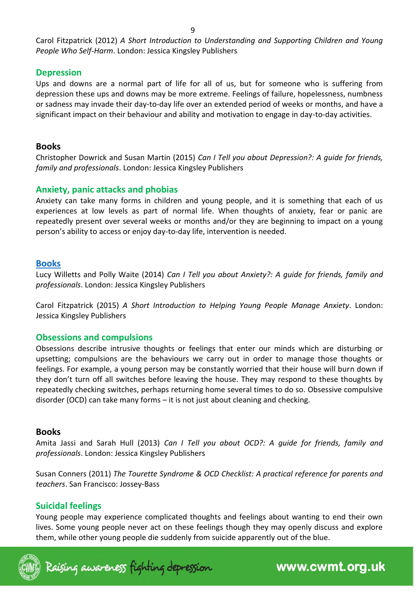Carol Fitzpatrick (2012) *A Short Introduction to Understanding and Supporting Children and Young People Who Self-Harm*. London: Jessica Kingsley Publishers

# **Depression**

Ups and downs are a normal part of life for all of us, but for someone who is suffering from depression these ups and downs may be more extreme. Feelings of failure, hopelessness, numbness or sadness may invade their day-to-day life over an extended period of weeks or months, and have a significant impact on their behaviour and ability and motivation to engage in day-to-day activities.

### **Books**

Christopher Dowrick and Susan Martin (2015) *Can I Tell you about Depression?: A guide for friends, family and professionals*. London: Jessica Kingsley Publishers

# **Anxiety, panic attacks and phobias**

Anxiety can take many forms in children and young people, and it is something that each of us experiences at low levels as part of normal life. When thoughts of anxiety, fear or panic are repeatedly present over several weeks or months and/or they are beginning to impact on a young person's ability to access or enjoy day-to-day life, intervention is needed.

### **Books**

Lucy Willetts and Polly Waite (2014) *Can I Tell you about Anxiety?: A guide for friends, family and professionals*. London: Jessica Kingsley Publishers

Carol Fitzpatrick (2015) *A Short Introduction to Helping Young People Manage Anxiety*. London: Jessica Kingsley Publishers

### **Obsessions and compulsions**

Obsessions describe intrusive thoughts or feelings that enter our minds which are disturbing or upsetting; compulsions are the behaviours we carry out in order to manage those thoughts or feelings. For example, a young person may be constantly worried that their house will burn down if they don't turn off all switches before leaving the house. They may respond to these thoughts by repeatedly checking switches, perhaps returning home several times to do so. Obsessive compulsive disorder (OCD) can take many forms – it is not just about cleaning and checking.

# **Books**

Amita Jassi and Sarah Hull (2013) *Can I Tell you about OCD?: A guide for friends, family and professionals*. London: Jessica Kingsley Publishers

Susan Conners (2011) *The Tourette Syndrome & OCD Checklist: A practical reference for parents and teachers*. San Francisco: Jossey-Bass

# **Suicidal feelings**

Young people may experience complicated thoughts and feelings about wanting to end their own lives. Some young people never act on these feelings though they may openly discuss and explore them, while other young people die suddenly from suicide apparently out of the blue.

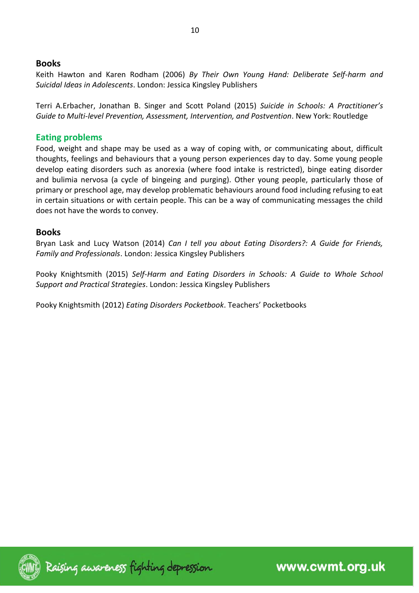#### **Books**

Keith Hawton and Karen Rodham (2006) *By Their Own Young Hand: Deliberate Self-harm and Suicidal Ideas in Adolescents*. London: Jessica Kingsley Publishers

Terri A.Erbacher, Jonathan B. Singer and Scott Poland (2015) *Suicide in Schools: A Practitioner's Guide to Multi-level Prevention, Assessment, Intervention, and Postvention*. New York: Routledge

#### **Eating problems**

Food, weight and shape may be used as a way of coping with, or communicating about, difficult thoughts, feelings and behaviours that a young person experiences day to day. Some young people develop eating disorders such as anorexia (where food intake is restricted), binge eating disorder and bulimia nervosa (a cycle of bingeing and purging). Other young people, particularly those of primary or preschool age, may develop problematic behaviours around food including refusing to eat in certain situations or with certain people. This can be a way of communicating messages the child does not have the words to convey.

#### **Books**

Bryan Lask and Lucy Watson (2014) *Can I tell you about Eating Disorders?: A Guide for Friends, Family and Professionals*. London: Jessica Kingsley Publishers

Pooky Knightsmith (2015) *Self-Harm and Eating Disorders in Schools: A Guide to Whole School Support and Practical Strategies*. London: Jessica Kingsley Publishers

Pooky Knightsmith (2012) *Eating Disorders Pocketbook*. Teachers' Pocketbooks

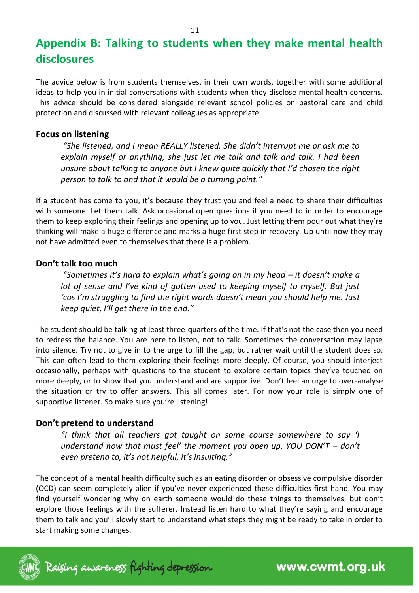# **Appendix B: Talking to students when they make mental health disclosures**

The advice below is from students themselves, in their own words, together with some additional ideas to help you in initial conversations with students when they disclose mental health concerns. This advice should be considered alongside relevant school policies on pastoral care and child protection and discussed with relevant colleagues as appropriate.

#### **Focus on listening**

*"She listened, and I mean REALLY listened. She didn't interrupt me or ask me to explain myself or anything, she just let me talk and talk and talk. I had been unsure about talking to anyone but I knew quite quickly that I'd chosen the right person to talk to and that it would be a turning point."* 

If a student has come to you, it's because they trust you and feel a need to share their difficulties with someone. Let them talk. Ask occasional open questions if you need to in order to encourage them to keep exploring their feelings and opening up to you. Just letting them pour out what they're thinking will make a huge difference and marks a huge first step in recovery. Up until now they may not have admitted even to themselves that there is a problem.

#### **Don't talk too much**

*"Sometimes it's hard to explain what's going on in my head – it doesn't make a*  lot of sense and I've kind of gotten used to keeping myself to myself. But just *'cos I'm struggling to find the right words doesn't mean you should help me. Just keep quiet, I'll get there in the end."* 

The student should be talking at least three-quarters of the time. If that's not the case then you need to redress the balance. You are here to listen, not to talk. Sometimes the conversation may lapse into silence. Try not to give in to the urge to fill the gap, but rather wait until the student does so. This can often lead to them exploring their feelings more deeply. Of course, you should interject occasionally, perhaps with questions to the student to explore certain topics they've touched on more deeply, or to show that you understand and are supportive. Don't feel an urge to over-analyse the situation or try to offer answers. This all comes later. For now your role is simply one of supportive listener. So make sure you're listening!

### **Don't pretend to understand**

*"I think that all teachers got taught on some course somewhere to say 'I understand how that must feel' the moment you open up. YOU DON'T – don't even pretend to, it's not helpful, it's insulting."* 

The concept of a mental health difficulty such as an eating disorder or obsessive compulsive disorder (OCD) can seem completely alien if you've never experienced these difficulties first-hand. You may find yourself wondering why on earth someone would do these things to themselves, but don't explore those feelings with the sufferer. Instead listen hard to what they're saying and encourage them to talk and you'll slowly start to understand what steps they might be ready to take in order to start making some changes.

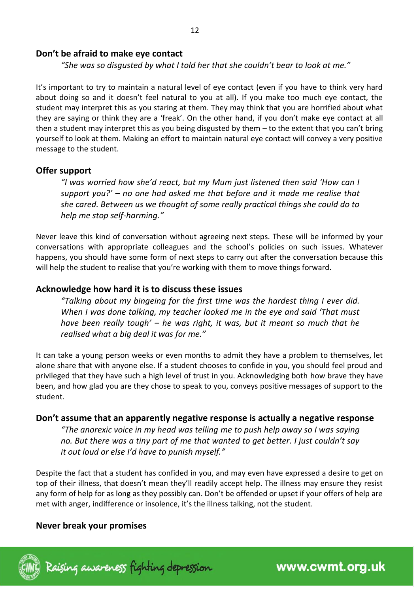#### **Don't be afraid to make eye contact**

*"She was so disgusted by what I told her that she couldn't bear to look at me."* 

It's important to try to maintain a natural level of eye contact (even if you have to think very hard about doing so and it doesn't feel natural to you at all). If you make too much eye contact, the student may interpret this as you staring at them. They may think that you are horrified about what they are saying or think they are a 'freak'. On the other hand, if you don't make eye contact at all then a student may interpret this as you being disgusted by them – to the extent that you can't bring yourself to look at them. Making an effort to maintain natural eye contact will convey a very positive message to the student.

#### **Offer support**

*"I was worried how she'd react, but my Mum just listened then said 'How can I support you?' – no one had asked me that before and it made me realise that she cared. Between us we thought of some really practical things she could do to help me stop self-harming."* 

Never leave this kind of conversation without agreeing next steps. These will be informed by your conversations with appropriate colleagues and the school's policies on such issues. Whatever happens, you should have some form of next steps to carry out after the conversation because this will help the student to realise that you're working with them to move things forward.

#### **Acknowledge how hard it is to discuss these issues**

*"Talking about my bingeing for the first time was the hardest thing I ever did. When I was done talking, my teacher looked me in the eye and said 'That must have been really tough' – he was right, it was, but it meant so much that he realised what a big deal it was for me."* 

It can take a young person weeks or even months to admit they have a problem to themselves, let alone share that with anyone else. If a student chooses to confide in you, you should feel proud and privileged that they have such a high level of trust in you. Acknowledging both how brave they have been, and how glad you are they chose to speak to you, conveys positive messages of support to the student.

#### **Don't assume that an apparently negative response is actually a negative response**

*"The anorexic voice in my head was telling me to push help away so I was saying no. But there was a tiny part of me that wanted to get better. I just couldn't say it out loud or else I'd have to punish myself."* 

Despite the fact that a student has confided in you, and may even have expressed a desire to get on top of their illness, that doesn't mean they'll readily accept help. The illness may ensure they resist any form of help for as long as they possibly can. Don't be offended or upset if your offers of help are met with anger, indifference or insolence, it's the illness talking, not the student.

### **Never break your promises**

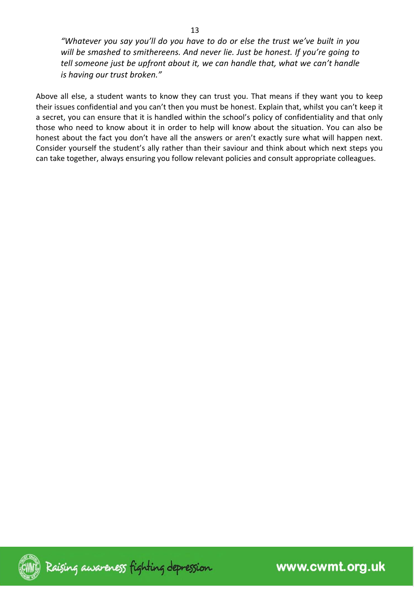*"Whatever you say you'll do you have to do or else the trust we've built in you will be smashed to smithereens. And never lie. Just be honest. If you're going to tell someone just be upfront about it, we can handle that, what we can't handle is having our trust broken."* 

Above all else, a student wants to know they can trust you. That means if they want you to keep their issues confidential and you can't then you must be honest. Explain that, whilst you can't keep it a secret, you can ensure that it is handled within the school's policy of confidentiality and that only those who need to know about it in order to help will know about the situation. You can also be honest about the fact you don't have all the answers or aren't exactly sure what will happen next. Consider yourself the student's ally rather than their saviour and think about which next steps you can take together, always ensuring you follow relevant policies and consult appropriate colleagues.

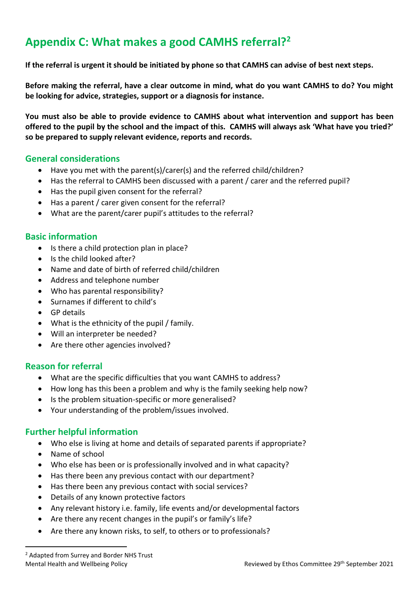# **Appendix C: What makes a good CAMHS referral?<sup>2</sup>**

**If the referral is urgent it should be initiated by phone so that CAMHS can advise of best next steps.**

**Before making the referral, have a clear outcome in mind, what do you want CAMHS to do? You might be looking for advice, strategies, support or a diagnosis for instance.** 

**You must also be able to provide evidence to CAMHS about what intervention and support has been offered to the pupil by the school and the impact of this. CAMHS will always ask 'What have you tried?' so be prepared to supply relevant evidence, reports and records.** 

#### **General considerations**

- Have you met with the parent(s)/carer(s) and the referred child/children?
- Has the referral to CAMHS been discussed with a parent / carer and the referred pupil?
- Has the pupil given consent for the referral?
- Has a parent / carer given consent for the referral?
- What are the parent/carer pupil's attitudes to the referral?

#### **Basic information**

- Is there a child protection plan in place?
- Is the child looked after?
- Name and date of birth of referred child/children
- Address and telephone number
- Who has parental responsibility?
- Surnames if different to child's
- GP details
- What is the ethnicity of the pupil / family.
- Will an interpreter be needed?
- Are there other agencies involved?

#### **Reason for referral**

- What are the specific difficulties that you want CAMHS to address?
- How long has this been a problem and why is the family seeking help now?
- Is the problem situation-specific or more generalised?
- Your understanding of the problem/issues involved.

### **Further helpful information**

- Who else is living at home and details of separated parents if appropriate?
- Name of school
- Who else has been or is professionally involved and in what capacity?
- Has there been any previous contact with our department?
- Has there been any previous contact with social services?
- Details of any known protective factors
- Any relevant history i.e. family, life events and/or developmental factors
- Are there any recent changes in the pupil's or family's life?
- Are there any known risks, to self, to others or to professionals?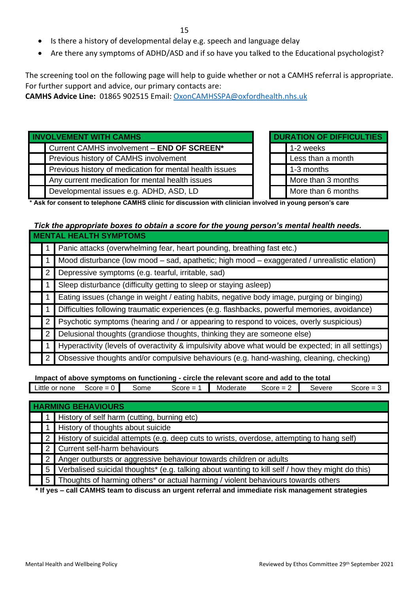- Is there a history of developmental delay e.g. speech and language delay
- Are there any symptoms of ADHD/ASD and if so have you talked to the Educational psychologist?

The screening tool on the following page will help to guide whether or not a CAMHS referral is appropriate. For further support and advice, our primary contacts are:

**CAMHS Advice Line:** 01865 902515 Email: [OxonCAMHSSPA@oxfordhealth.nhs.uk](file:///C:/Users/15lock/AppData/Local/Temp/OxonCAMHSSPA@oxfordhealth.nhs.uk)

| <b>INVOLVEMENT WITH CAMHS</b> |                                                         |  |  | <b>DURATION OF DIFFICULTIES</b> |
|-------------------------------|---------------------------------------------------------|--|--|---------------------------------|
|                               | Current CAMHS involvement - END OF SCREEN*              |  |  | 1-2 weeks                       |
|                               | Previous history of CAMHS involvement                   |  |  | Less than a month               |
|                               | Previous history of medication for mental health issues |  |  | 1-3 months                      |
|                               | Any current medication for mental health issues         |  |  | More than 3 months              |
|                               | Developmental issues e.g. ADHD, ASD, LD                 |  |  | More than 6 months              |

| <b>DURATION OF DIFFICULTIES</b> |  |  |  |  |  |  |
|---------------------------------|--|--|--|--|--|--|
| 1-2 weeks                       |  |  |  |  |  |  |
| Less than a month               |  |  |  |  |  |  |
| 1-3 months                      |  |  |  |  |  |  |
| More than 3 months              |  |  |  |  |  |  |
| More than 6 months              |  |  |  |  |  |  |

**\* Ask for consent to telephone CAMHS clinic for discussion with clinician involved in young person's care**

# *Tick the appropriate boxes to obtain a score for the young person's mental health needs.*

| <b>MENTAL HEALTH SYMPTOMS</b> |                                                                                                    |  |  |  |  |  |
|-------------------------------|----------------------------------------------------------------------------------------------------|--|--|--|--|--|
|                               | Panic attacks (overwhelming fear, heart pounding, breathing fast etc.)                             |  |  |  |  |  |
|                               | Mood disturbance (low mood – sad, apathetic; high mood – exaggerated / unrealistic elation)        |  |  |  |  |  |
| 2                             | Depressive symptoms (e.g. tearful, irritable, sad)                                                 |  |  |  |  |  |
|                               | Sleep disturbance (difficulty getting to sleep or staying asleep)                                  |  |  |  |  |  |
|                               | Eating issues (change in weight / eating habits, negative body image, purging or binging)          |  |  |  |  |  |
|                               | Difficulties following traumatic experiences (e.g. flashbacks, powerful memories, avoidance)       |  |  |  |  |  |
| 2                             | Psychotic symptoms (hearing and / or appearing to respond to voices, overly suspicious)            |  |  |  |  |  |
| 2                             | Delusional thoughts (grandiose thoughts, thinking they are someone else)                           |  |  |  |  |  |
|                               | Hyperactivity (levels of overactivity & impulsivity above what would be expected; in all settings) |  |  |  |  |  |
| 2                             | Obsessive thoughts and/or compulsive behaviours (e.g. hand-washing, cleaning, checking)            |  |  |  |  |  |

 **Impact of above symptoms on functioning - circle the relevant score and add to the total**

| Little<br>or none | Score<br>. . | some | ය core<br>- | Moderate | Score | Severe | Score |
|-------------------|--------------|------|-------------|----------|-------|--------|-------|
|                   |              |      |             |          |       |        |       |
|                   |              |      |             |          |       |        |       |

|   | <b>HARMING BEHAVIOURS</b> |                                                                                                    |  |  |  |  |  |
|---|---------------------------|----------------------------------------------------------------------------------------------------|--|--|--|--|--|
|   |                           | 1 History of self harm (cutting, burning etc)                                                      |  |  |  |  |  |
|   |                           | 1 History of thoughts about suicide                                                                |  |  |  |  |  |
|   |                           | 2   History of suicidal attempts (e.g. deep cuts to wrists, overdose, attempting to hang self)     |  |  |  |  |  |
|   |                           | 2 Current self-harm behaviours                                                                     |  |  |  |  |  |
|   |                           | 2 Anger outbursts or aggressive behaviour towards children or adults                               |  |  |  |  |  |
|   |                           | 5 Verbalised suicidal thoughts* (e.g. talking about wanting to kill self / how they might do this) |  |  |  |  |  |
|   |                           | 5   Thoughts of harming others* or actual harming / violent behaviours towards others              |  |  |  |  |  |
| . |                           |                                                                                                    |  |  |  |  |  |

 **\* If yes – call CAMHS team to discuss an urgent referral and immediate risk management strategies**